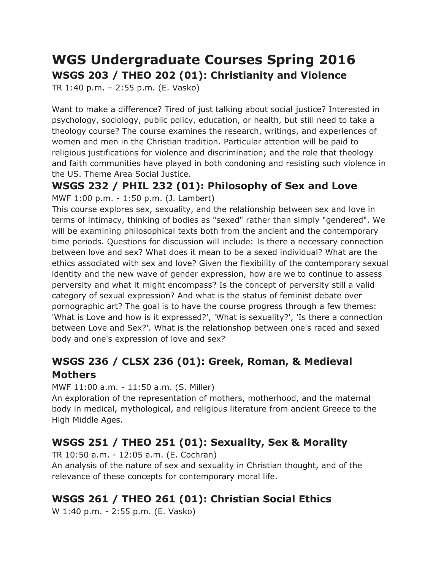# **WGS Undergraduate Courses Spring 2016 WSGS 203 / THEO 202 (01): Christianity and Violence**

TR 1:40 p.m. – 2:55 p.m. (E. Vasko)

Want to make a difference? Tired of just talking about social justice? Interested in psychology, sociology, public policy, education, or health, but still need to take a theology course? The course examines the research, writings, and experiences of women and men in the Christian tradition. Particular attention will be paid to religious justifications for violence and discrimination; and the role that theology and faith communities have played in both condoning and resisting such violence in the US. Theme Area Social Justice.

### **WSGS 232 / PHIL 232 (01): Philosophy of Sex and Love** MWF 1:00 p.m. - 1:50 p.m. (J. Lambert)

This course explores sex, sexuality, and the relationship between sex and love in terms of intimacy, thinking of bodies as "sexed" rather than simply "gendered". We will be examining philosophical texts both from the ancient and the contemporary time periods. Questions for discussion will include: Is there a necessary connection between love and sex? What does it mean to be a sexed individual? What are the ethics associated with sex and love? Given the flexibility of the contemporary sexual identity and the new wave of gender expression, how are we to continue to assess perversity and what it might encompass? Is the concept of perversity still a valid category of sexual expression? And what is the status of feminist debate over pornographic art? The goal is to have the course progress through a few themes: 'What is Love and how is it expressed?', 'What is sexuality?', 'Is there a connection between Love and Sex?'. What is the relationshop between one's raced and sexed body and one's expression of love and sex?

# **WSGS 236 / CLSX 236 (01): Greek, Roman, & Medieval Mothers**

MWF 11:00 a.m. - 11:50 a.m. (S. Miller)

An exploration of the representation of mothers, motherhood, and the maternal body in medical, mythological, and religious literature from ancient Greece to the High Middle Ages.

# **WSGS 251 / THEO 251 (01): Sexuality, Sex & Morality**

TR 10:50 a.m. - 12:05 a.m. (E. Cochran)

An analysis of the nature of sex and sexuality in Christian thought, and of the relevance of these concepts for contemporary moral life.

# **WSGS 261 / THEO 261 (01): Christian Social Ethics**

W 1:40 p.m. - 2:55 p.m. (E. Vasko)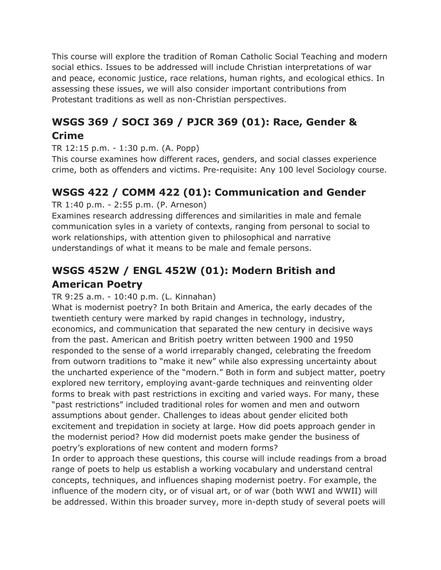This course will explore the tradition of Roman Catholic Social Teaching and modern social ethics. Issues to be addressed will include Christian interpretations of war and peace, economic justice, race relations, human rights, and ecological ethics. In assessing these issues, we will also consider important contributions from Protestant traditions as well as non-Christian perspectives.

# **WSGS 369 / SOCI 369 / PJCR 369 (01): Race, Gender & Crime**

TR 12:15 p.m. - 1:30 p.m. (A. Popp)

This course examines how different races, genders, and social classes experience crime, both as offenders and victims. Pre-requisite: Any 100 level Sociology course.

## **WSGS 422 / COMM 422 (01): Communication and Gender**

TR 1:40 p.m. - 2:55 p.m. (P. Arneson)

Examines research addressing differences and similarities in male and female communication syles in a variety of contexts, ranging from personal to social to work relationships, with attention given to philosophical and narrative understandings of what it means to be male and female persons.

# **WSGS 452W / ENGL 452W (01): Modern British and American Poetry**

### TR 9:25 a.m. - 10:40 p.m. (L. Kinnahan)

What is modernist poetry? In both Britain and America, the early decades of the twentieth century were marked by rapid changes in technology, industry, economics, and communication that separated the new century in decisive ways from the past. American and British poetry written between 1900 and 1950 responded to the sense of a world irreparably changed, celebrating the freedom from outworn traditions to "make it new" while also expressing uncertainty about the uncharted experience of the "modern." Both in form and subject matter, poetry explored new territory, employing avant-garde techniques and reinventing older forms to break with past restrictions in exciting and varied ways. For many, these "past restrictions" included traditional roles for women and men and outworn assumptions about gender. Challenges to ideas about gender elicited both excitement and trepidation in society at large. How did poets approach gender in the modernist period? How did modernist poets make gender the business of poetry's explorations of new content and modern forms?

In order to approach these questions, this course will include readings from a broad range of poets to help us establish a working vocabulary and understand central concepts, techniques, and influences shaping modernist poetry. For example, the influence of the modern city, or of visual art, or of war (both WWI and WWII) will be addressed. Within this broader survey, more in-depth study of several poets will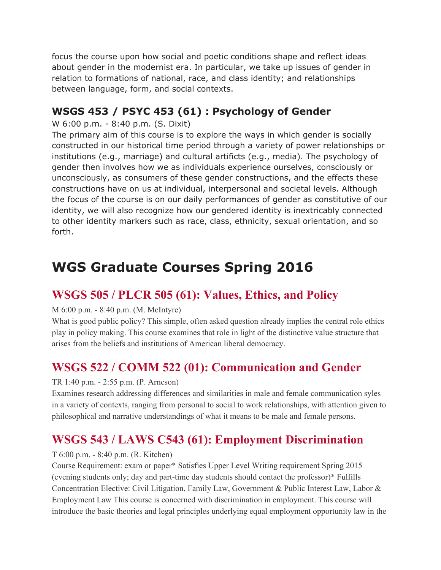focus the course upon how social and poetic conditions shape and reflect ideas about gender in the modernist era. In particular, we take up issues of gender in relation to formations of national, race, and class identity; and relationships between language, form, and social contexts.

## **WSGS 453 / PSYC 453 (61) : Psychology of Gender**

### W 6:00 p.m. - 8:40 p.m. (S. Dixit)

The primary aim of this course is to explore the ways in which gender is socially constructed in our historical time period through a variety of power relationships or institutions (e.g., marriage) and cultural artificts (e.g., media). The psychology of gender then involves how we as individuals experience ourselves, consciously or unconsciously, as consumers of these gender constructions, and the effects these constructions have on us at individual, interpersonal and societal levels. Although the focus of the course is on our daily performances of gender as constitutive of our identity, we will also recognize how our gendered identity is inextricably connected to other identity markers such as race, class, ethnicity, sexual orientation, and so forth.

# **WGS Graduate Courses Spring 2016**

# **WSGS 505 / PLCR 505 (61): Values, Ethics, and Policy**

### M 6:00 p.m. - 8:40 p.m. (M. McIntyre)

What is good public policy? This simple, often asked question already implies the central role ethics play in policy making. This course examines that role in light of the distinctive value structure that arises from the beliefs and institutions of American liberal democracy.

# **WSGS 522 / COMM 522 (01): Communication and Gender**

### TR 1:40 p.m. - 2:55 p.m. (P. Arneson)

Examines research addressing differences and similarities in male and female communication syles in a variety of contexts, ranging from personal to social to work relationships, with attention given to philosophical and narrative understandings of what it means to be male and female persons.

# **WSGS 543 / LAWS C543 (61): Employment Discrimination**

### T 6:00 p.m. - 8:40 p.m. (R. Kitchen)

Course Requirement: exam or paper\* Satisfies Upper Level Writing requirement Spring 2015 (evening students only; day and part-time day students should contact the professor)\* Fulfills Concentration Elective: Civil Litigation, Family Law, Government & Public Interest Law, Labor & Employment Law This course is concerned with discrimination in employment. This course will introduce the basic theories and legal principles underlying equal employment opportunity law in the